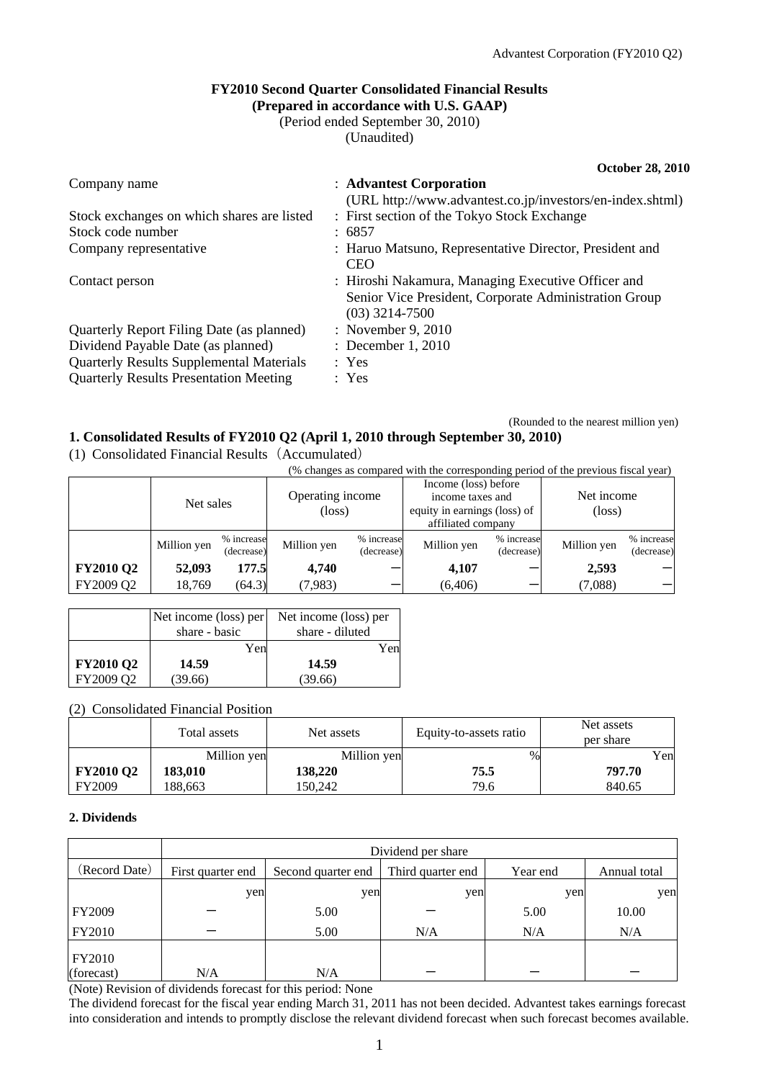### **FY2010 Second Quarter Consolidated Financial Results (Prepared in accordance with U.S. GAAP)**

(Period ended September 30, 2010)

(Unaudited)

| Company name                                    | : Advantest Corporation                                                                                                         |
|-------------------------------------------------|---------------------------------------------------------------------------------------------------------------------------------|
|                                                 | (URL http://www.advantest.co.jp/investors/en-index.shtml)                                                                       |
| Stock exchanges on which shares are listed      | : First section of the Tokyo Stock Exchange                                                                                     |
| Stock code number                               | : 6857                                                                                                                          |
| Company representative                          | : Haruo Matsuno, Representative Director, President and<br><b>CEO</b>                                                           |
| Contact person                                  | : Hiroshi Nakamura, Managing Executive Officer and<br>Senior Vice President, Corporate Administration Group<br>$(03)$ 3214-7500 |
| Quarterly Report Filing Date (as planned)       | : November 9, 2010                                                                                                              |
| Dividend Payable Date (as planned)              | : December 1, 2010                                                                                                              |
| <b>Quarterly Results Supplemental Materials</b> | : Yes                                                                                                                           |
| <b>Quarterly Results Presentation Meeting</b>   | : Yes                                                                                                                           |

(Rounded to the nearest million yen)

### **1. Consolidated Results of FY2010 Q2 (April 1, 2010 through September 30, 2010)**

(1) Consolidated Financial Results(Accumulated)

(% changes as compared with the corresponding period of the previous fiscal year)

|                  | Net sales   |                          | Operating income<br>$(\text{loss})$ |                          | Income (loss) before<br>income taxes and<br>equity in earnings (loss) of<br>affiliated company |                          | Net income<br>$(\text{loss})$ |                          |
|------------------|-------------|--------------------------|-------------------------------------|--------------------------|------------------------------------------------------------------------------------------------|--------------------------|-------------------------------|--------------------------|
|                  | Million yen | % increase<br>(decrease) | Million yen                         | % increase<br>(decrease) | Million yen                                                                                    | % increase<br>(decrease) | Million yen                   | % increase<br>(decrease) |
| <b>FY2010 Q2</b> | 52,093      | 177.5                    | 4.740                               |                          | 4,107                                                                                          |                          | 2,593                         |                          |
| FY2009 Q2        | 18,769      | (64.3)                   | (7,983)                             |                          | (6,406)                                                                                        |                          | (7,088)                       |                          |

|                  | Net income (loss) per | Net income (loss) per |
|------------------|-----------------------|-----------------------|
|                  | share - basic         | share - diluted       |
|                  | Yen                   | Yen                   |
| <b>FY2010 Q2</b> | 14.59                 | 14.59                 |
| FY2009 O2        | (39.66)               | (39.66)               |

### (2) Consolidated Financial Position

|                  | Total assets | Net assets  | Equity-to-assets ratio | Net assets<br>per share |
|------------------|--------------|-------------|------------------------|-------------------------|
|                  | Million yen  | Million yen | $\%$                   | Yen                     |
| <b>FY2010 Q2</b> | 183,010      | 138,220     | 75.5                   | 797.70                  |
| <b>FY2009</b>    | 188.663      | 150.242     | 79.6                   | 840.65                  |

#### **2. Dividends**

|                             | Dividend per share                                                       |      |     |      |              |
|-----------------------------|--------------------------------------------------------------------------|------|-----|------|--------------|
| (Record Date)               | First quarter end<br>Third quarter end<br>Year end<br>Second quarter end |      |     |      | Annual total |
|                             | yen                                                                      | yen  | yen | yen  | yen          |
| <b>FY2009</b>               |                                                                          | 5.00 |     | 5.00 | 10.00        |
| <b>FY2010</b>               |                                                                          | 5.00 | N/A | N/A  | N/A          |
| <b>FY2010</b><br>(forecast) | N/A                                                                      | N/A  |     |      |              |

(Note) Revision of dividends forecast for this period: None

The dividend forecast for the fiscal year ending March 31, 2011 has not been decided. Advantest takes earnings forecast into consideration and intends to promptly disclose the relevant dividend forecast when such forecast becomes available.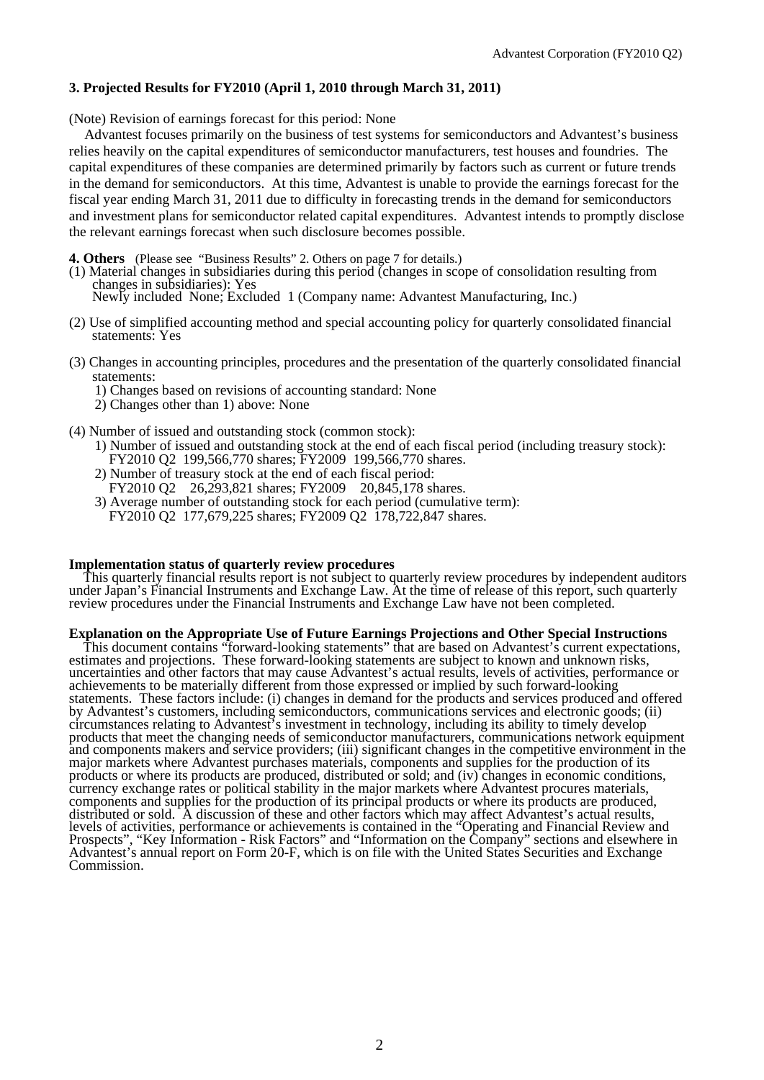#### **3. Projected Results for FY2010 (April 1, 2010 through March 31, 2011)**

(Note) Revision of earnings forecast for this period: None

Advantest focuses primarily on the business of test systems for semiconductors and Advantest's business relies heavily on the capital expenditures of semiconductor manufacturers, test houses and foundries. The capital expenditures of these companies are determined primarily by factors such as current or future trends in the demand for semiconductors. At this time, Advantest is unable to provide the earnings forecast for the fiscal year ending March 31, 2011 due to difficulty in forecasting trends in the demand for semiconductors and investment plans for semiconductor related capital expenditures. Advantest intends to promptly disclose the relevant earnings forecast when such disclosure becomes possible.

**4. Others** (Please see "Business Results" 2. Others on page 7 for details.)

- (1) Material changes in subsidiaries during this period (changes in scope of consolidation resulting from changes in subsidiaries): Yes Newly included None; Excluded 1 (Company name: Advantest Manufacturing, Inc.)
- (2) Use of simplified accounting method and special accounting policy for quarterly consolidated financial statements: Yes
- (3) Changes in accounting principles, procedures and the presentation of the quarterly consolidated financial statements:
	- 1) Changes based on revisions of accounting standard: None
	- 2) Changes other than 1) above: None
- (4) Number of issued and outstanding stock (common stock):
	- 1) Number of issued and outstanding stock at the end of each fiscal period (including treasury stock): FY2010 Q2 199,566,770 shares; FY2009 199,566,770 shares.
	- 2) Number of treasury stock at the end of each fiscal period: FY2010 Q2 26,293,821 shares; FY2009 20,845,178 shares.
	- 3) Average number of outstanding stock for each period (cumulative term): FY2010 Q2 177,679,225 shares; FY2009 Q2 178,722,847 shares.

#### **Implementation status of quarterly review procedures**

This quarterly financial results report is not subject to quarterly review procedures by independent auditors under Japan's Financial Instruments and Exchange Law. At the time of release of this report, such quarterly review procedures under the Financial Instruments and Exchange Law have not been completed.

#### **Explanation on the Appropriate Use of Future Earnings Projections and Other Special Instructions**

This document contains "forward-looking statements" that are based on Advantest's current expectations, estimates and projections. These forward-looking statements are subject to known and unknown risks, uncertainties and other factors that may cause Advantest's actual results, levels of activities, performance or achievements to be materially different from those expressed or implied by such forward-looking statements. These factors include: (i) changes in demand for the products and services produced and offered by Advantest's customers, including semiconductors, communications services and electronic goods; (ii) circumstances relating to Advantest's investment in technology, including its ability to timely develop products that meet the changing needs of semiconductor manufacturers, communications network equipment and components makers and service providers; (iii) significant changes in the competitive environment in the major markets where Advantest purchases materials, components and supplies for the production of its products or where its products are produced, distributed or sold; and (iv) changes in economic conditions, currency exchange rates or political stability in the major markets where Advantest procures materials, components and supplies for the production of its principal products or where its products are produced, distributed or sold. A discussion of these and other factors which may affect Advantest's actual results, levels of activities, performance or achievements is contained in the "Operating and Financial Review and Prospects", "Key Information - Risk Factors" and "Information on the Company" sections and elsewhere in Advantest's annual report on Form 20-F, which is on file with the United States Securities and Exchange Commission.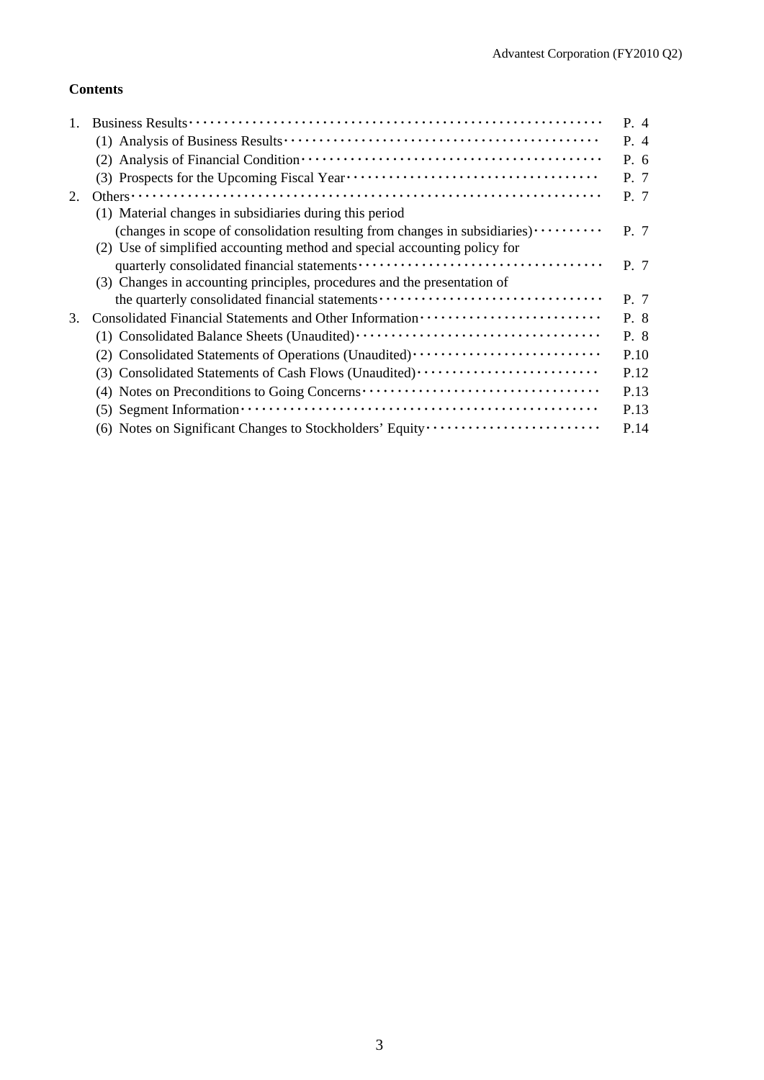## **Contents**

|    |                                                                                                                              | P. 4 |
|----|------------------------------------------------------------------------------------------------------------------------------|------|
|    |                                                                                                                              | P. 4 |
|    |                                                                                                                              | P. 6 |
|    |                                                                                                                              | P. 7 |
| 2. |                                                                                                                              | P. 7 |
|    | (1) Material changes in subsidiaries during this period                                                                      |      |
|    | (changes in scope of consolidation resulting from changes in subsidiaries) $\cdots$                                          | P. 7 |
|    | (2) Use of simplified accounting method and special accounting policy for                                                    |      |
|    |                                                                                                                              | P. 7 |
|    | (3) Changes in accounting principles, procedures and the presentation of                                                     |      |
|    | the quarterly consolidated financial statements                                                                              | P. 7 |
| 3. |                                                                                                                              | P. 8 |
|    |                                                                                                                              | P. 8 |
|    | (2) Consolidated Statements of Operations (Unaudited)                                                                        | P.10 |
|    | (3) Consolidated Statements of Cash Flows (Unaudited)                                                                        | P.12 |
|    | (4) Notes on Preconditions to Going Concerns                                                                                 | P.13 |
|    | $(5)$ Segment Information $\cdots$ $\cdots$ $\cdots$ $\cdots$ $\cdots$ $\cdots$ $\cdots$ $\cdots$ $\cdots$ $\cdots$ $\cdots$ | P.13 |
|    | (6) Notes on Significant Changes to Stockholders' Equity                                                                     | P.14 |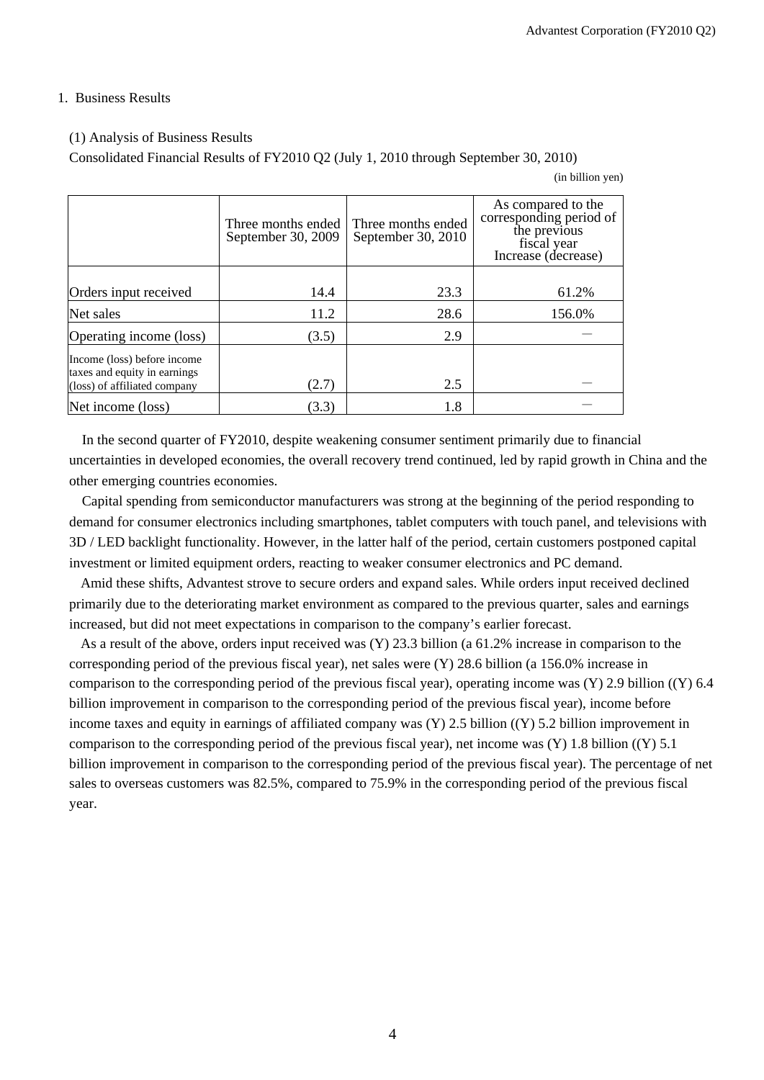### 1. Business Results

### (1) Analysis of Business Results

Consolidated Financial Results of FY2010 Q2 (July 1, 2010 through September 30, 2010)

(in billion yen)

|                                                                                             | Three months ended<br>September 30, 2009 | Three months ended<br>September 30, 2010 | As compared to the<br>corresponding period of<br>the previous<br>fiscal year<br>Increase (decrease) |
|---------------------------------------------------------------------------------------------|------------------------------------------|------------------------------------------|-----------------------------------------------------------------------------------------------------|
| Orders input received                                                                       | 14.4                                     | 23.3                                     | 61.2%                                                                                               |
| Net sales                                                                                   | 11.2                                     | 28.6                                     | 156.0%                                                                                              |
| Operating income (loss)                                                                     | (3.5)                                    | 2.9                                      |                                                                                                     |
| Income (loss) before income<br>taxes and equity in earnings<br>(loss) of affiliated company | (2.7)                                    | 2.5                                      |                                                                                                     |
| Net income (loss)                                                                           | (3.3)                                    | 1.8                                      |                                                                                                     |

In the second quarter of FY2010, despite weakening consumer sentiment primarily due to financial uncertainties in developed economies, the overall recovery trend continued, led by rapid growth in China and the other emerging countries economies.

Capital spending from semiconductor manufacturers was strong at the beginning of the period responding to demand for consumer electronics including smartphones, tablet computers with touch panel, and televisions with 3D / LED backlight functionality. However, in the latter half of the period, certain customers postponed capital investment or limited equipment orders, reacting to weaker consumer electronics and PC demand.

Amid these shifts, Advantest strove to secure orders and expand sales. While orders input received declined primarily due to the deteriorating market environment as compared to the previous quarter, sales and earnings increased, but did not meet expectations in comparison to the company's earlier forecast.

As a result of the above, orders input received was (Y) 23.3 billion (a 61.2% increase in comparison to the corresponding period of the previous fiscal year), net sales were (Y) 28.6 billion (a 156.0% increase in comparison to the corresponding period of the previous fiscal year), operating income was (Y) 2.9 billion ((Y) 6.4 billion improvement in comparison to the corresponding period of the previous fiscal year), income before income taxes and equity in earnings of affiliated company was (Y) 2.5 billion ((Y) 5.2 billion improvement in comparison to the corresponding period of the previous fiscal year), net income was (Y) 1.8 billion ((Y) 5.1 billion improvement in comparison to the corresponding period of the previous fiscal year). The percentage of net sales to overseas customers was 82.5%, compared to 75.9% in the corresponding period of the previous fiscal year.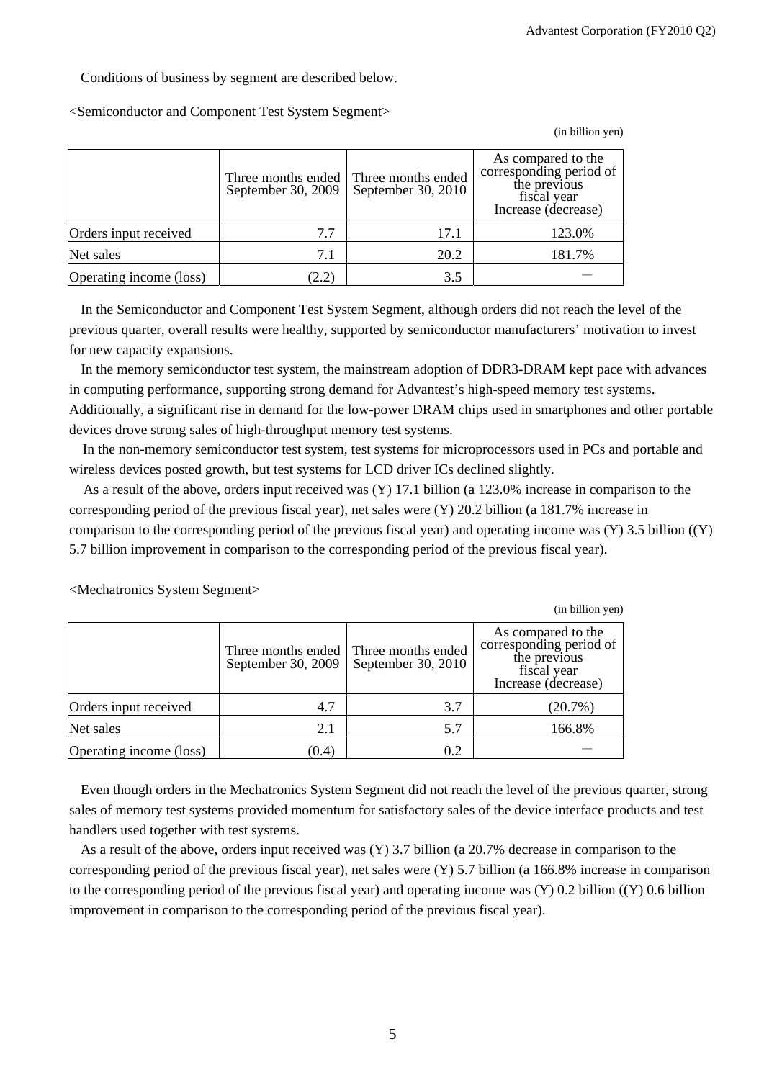Conditions of business by segment are described below.

<Semiconductor and Component Test System Segment>

(in billion yen)

|                         | Three months ended<br>September 30, 2009 | Three months ended<br>September 30, 2010 | As compared to the<br>corresponding period of<br>the previous<br>fiscal year<br>Increase (decrease) |
|-------------------------|------------------------------------------|------------------------------------------|-----------------------------------------------------------------------------------------------------|
| Orders input received   | 7.7                                      | 17.1                                     | 123.0%                                                                                              |
| Net sales               | 7.1                                      | 20.2                                     | 181.7%                                                                                              |
| Operating income (loss) | (2.2)                                    | 3.5                                      |                                                                                                     |

In the Semiconductor and Component Test System Segment, although orders did not reach the level of the previous quarter, overall results were healthy, supported by semiconductor manufacturers' motivation to invest for new capacity expansions.

In the memory semiconductor test system, the mainstream adoption of DDR3-DRAM kept pace with advances in computing performance, supporting strong demand for Advantest's high-speed memory test systems. Additionally, a significant rise in demand for the low-power DRAM chips used in smartphones and other portable devices drove strong sales of high-throughput memory test systems.

In the non-memory semiconductor test system, test systems for microprocessors used in PCs and portable and wireless devices posted growth, but test systems for LCD driver ICs declined slightly.

As a result of the above, orders input received was (Y) 17.1 billion (a 123.0% increase in comparison to the corresponding period of the previous fiscal year), net sales were (Y) 20.2 billion (a 181.7% increase in comparison to the corresponding period of the previous fiscal year) and operating income was (Y) 3.5 billion ((Y) 5.7 billion improvement in comparison to the corresponding period of the previous fiscal year).

|                         |                                          |                                          | (in billion yen)                                                                                    |
|-------------------------|------------------------------------------|------------------------------------------|-----------------------------------------------------------------------------------------------------|
|                         | Three months ended<br>September 30, 2009 | Three months ended<br>September 30, 2010 | As compared to the<br>corresponding period of<br>the previous<br>fiscal year<br>Increase (decrease) |
| Orders input received   | 4.7                                      | 3.7                                      | (20.7%)                                                                                             |
| Net sales               | 2.1                                      | 5.7                                      | 166.8%                                                                                              |
| Operating income (loss) | (0.4)                                    | 0.2                                      |                                                                                                     |

<Mechatronics System Segment>

Even though orders in the Mechatronics System Segment did not reach the level of the previous quarter, strong sales of memory test systems provided momentum for satisfactory sales of the device interface products and test handlers used together with test systems.

As a result of the above, orders input received was (Y) 3.7 billion (a 20.7% decrease in comparison to the corresponding period of the previous fiscal year), net sales were (Y) 5.7 billion (a 166.8% increase in comparison to the corresponding period of the previous fiscal year) and operating income was (Y) 0.2 billion ((Y) 0.6 billion improvement in comparison to the corresponding period of the previous fiscal year).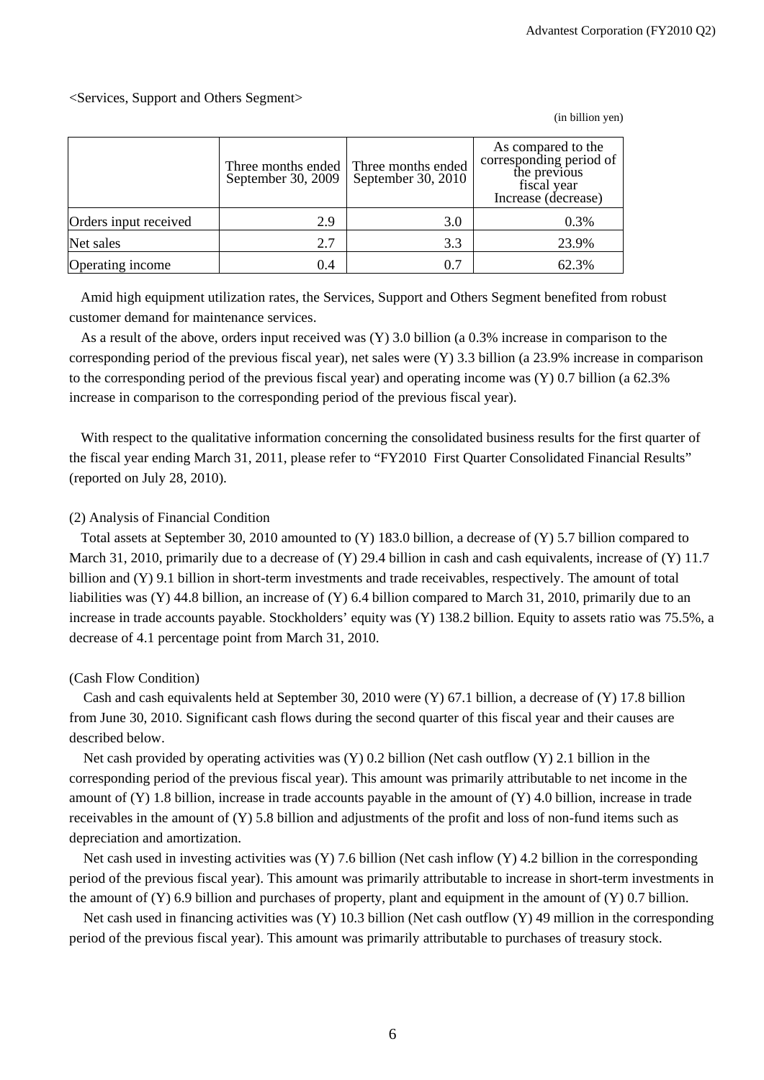### <Services, Support and Others Segment>

(in billion yen)

|                       | September 30, 2009 | Three months ended Three months ended<br>September 30, 2010 | As compared to the<br>corresponding period of<br>the previous<br>fiscal year<br>Increase (decrease) |
|-----------------------|--------------------|-------------------------------------------------------------|-----------------------------------------------------------------------------------------------------|
| Orders input received | 2.9                | 3.0                                                         | 0.3%                                                                                                |
| Net sales             | 2.7                | 3.3                                                         | 23.9%                                                                                               |
| Operating income      | 0.4                | 0.7                                                         | 62.3%                                                                                               |

Amid high equipment utilization rates, the Services, Support and Others Segment benefited from robust customer demand for maintenance services.

As a result of the above, orders input received was (Y) 3.0 billion (a 0.3% increase in comparison to the corresponding period of the previous fiscal year), net sales were (Y) 3.3 billion (a 23.9% increase in comparison to the corresponding period of the previous fiscal year) and operating income was (Y) 0.7 billion (a 62.3% increase in comparison to the corresponding period of the previous fiscal year).

With respect to the qualitative information concerning the consolidated business results for the first quarter of the fiscal year ending March 31, 2011, please refer to "FY2010 First Quarter Consolidated Financial Results" (reported on July 28, 2010).

#### (2) Analysis of Financial Condition

Total assets at September 30, 2010 amounted to (Y) 183.0 billion, a decrease of (Y) 5.7 billion compared to March 31, 2010, primarily due to a decrease of (Y) 29.4 billion in cash and cash equivalents, increase of (Y) 11.7 billion and (Y) 9.1 billion in short-term investments and trade receivables, respectively. The amount of total liabilities was (Y) 44.8 billion, an increase of (Y) 6.4 billion compared to March 31, 2010, primarily due to an increase in trade accounts payable. Stockholders' equity was (Y) 138.2 billion. Equity to assets ratio was 75.5%, a decrease of 4.1 percentage point from March 31, 2010.

#### (Cash Flow Condition)

Cash and cash equivalents held at September 30, 2010 were (Y) 67.1 billion, a decrease of (Y) 17.8 billion from June 30, 2010. Significant cash flows during the second quarter of this fiscal year and their causes are described below.

Net cash provided by operating activities was (Y) 0.2 billion (Net cash outflow (Y) 2.1 billion in the corresponding period of the previous fiscal year). This amount was primarily attributable to net income in the amount of  $(Y)$  1.8 billion, increase in trade accounts payable in the amount of  $(Y)$  4.0 billion, increase in trade receivables in the amount of (Y) 5.8 billion and adjustments of the profit and loss of non-fund items such as depreciation and amortization.

Net cash used in investing activities was (Y) 7.6 billion (Net cash inflow (Y) 4.2 billion in the corresponding period of the previous fiscal year). This amount was primarily attributable to increase in short-term investments in the amount of  $(Y)$  6.9 billion and purchases of property, plant and equipment in the amount of  $(Y)$  0.7 billion.

Net cash used in financing activities was (Y) 10.3 billion (Net cash outflow (Y) 49 million in the corresponding period of the previous fiscal year). This amount was primarily attributable to purchases of treasury stock.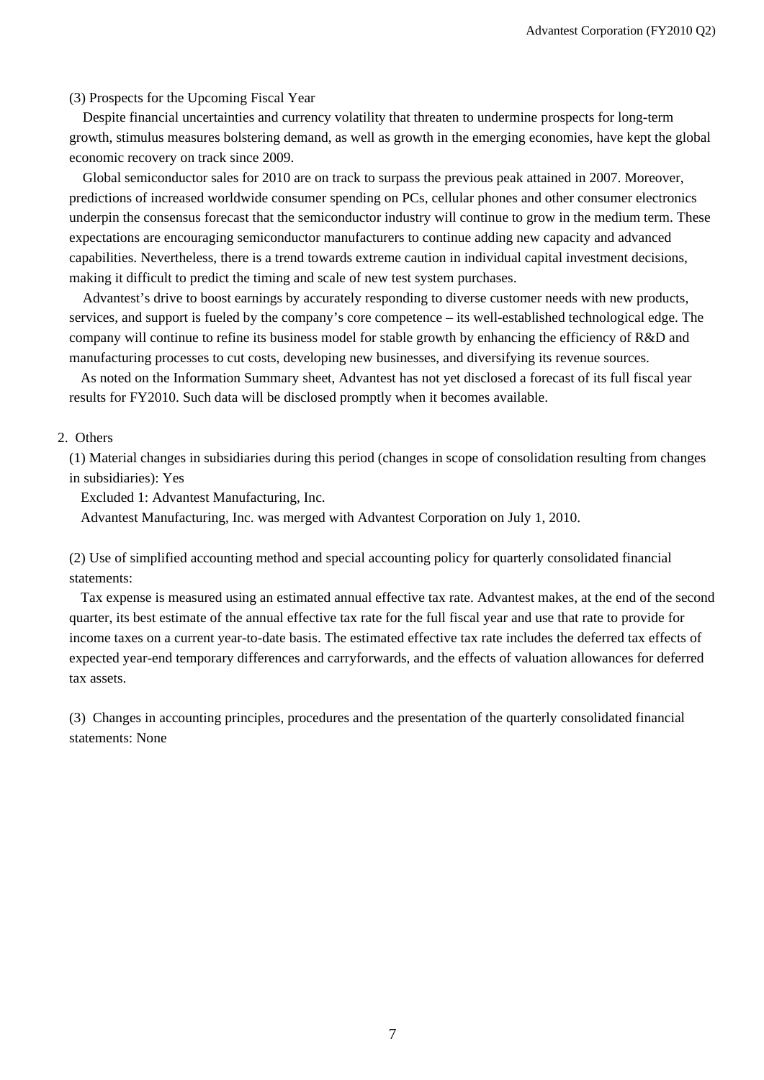(3) Prospects for the Upcoming Fiscal Year

Despite financial uncertainties and currency volatility that threaten to undermine prospects for long-term growth, stimulus measures bolstering demand, as well as growth in the emerging economies, have kept the global economic recovery on track since 2009.

Global semiconductor sales for 2010 are on track to surpass the previous peak attained in 2007. Moreover, predictions of increased worldwide consumer spending on PCs, cellular phones and other consumer electronics underpin the consensus forecast that the semiconductor industry will continue to grow in the medium term. These expectations are encouraging semiconductor manufacturers to continue adding new capacity and advanced capabilities. Nevertheless, there is a trend towards extreme caution in individual capital investment decisions, making it difficult to predict the timing and scale of new test system purchases.

Advantest's drive to boost earnings by accurately responding to diverse customer needs with new products, services, and support is fueled by the company's core competence – its well-established technological edge. The company will continue to refine its business model for stable growth by enhancing the efficiency of R&D and manufacturing processes to cut costs, developing new businesses, and diversifying its revenue sources.

As noted on the Information Summary sheet, Advantest has not yet disclosed a forecast of its full fiscal year results for FY2010. Such data will be disclosed promptly when it becomes available.

#### 2. Others

(1) Material changes in subsidiaries during this period (changes in scope of consolidation resulting from changes in subsidiaries): Yes

Excluded 1: Advantest Manufacturing, Inc.

Advantest Manufacturing, Inc. was merged with Advantest Corporation on July 1, 2010.

(2) Use of simplified accounting method and special accounting policy for quarterly consolidated financial statements:

Tax expense is measured using an estimated annual effective tax rate. Advantest makes, at the end of the second quarter, its best estimate of the annual effective tax rate for the full fiscal year and use that rate to provide for income taxes on a current year-to-date basis. The estimated effective tax rate includes the deferred tax effects of expected year-end temporary differences and carryforwards, and the effects of valuation allowances for deferred tax assets.

(3) Changes in accounting principles, procedures and the presentation of the quarterly consolidated financial statements: None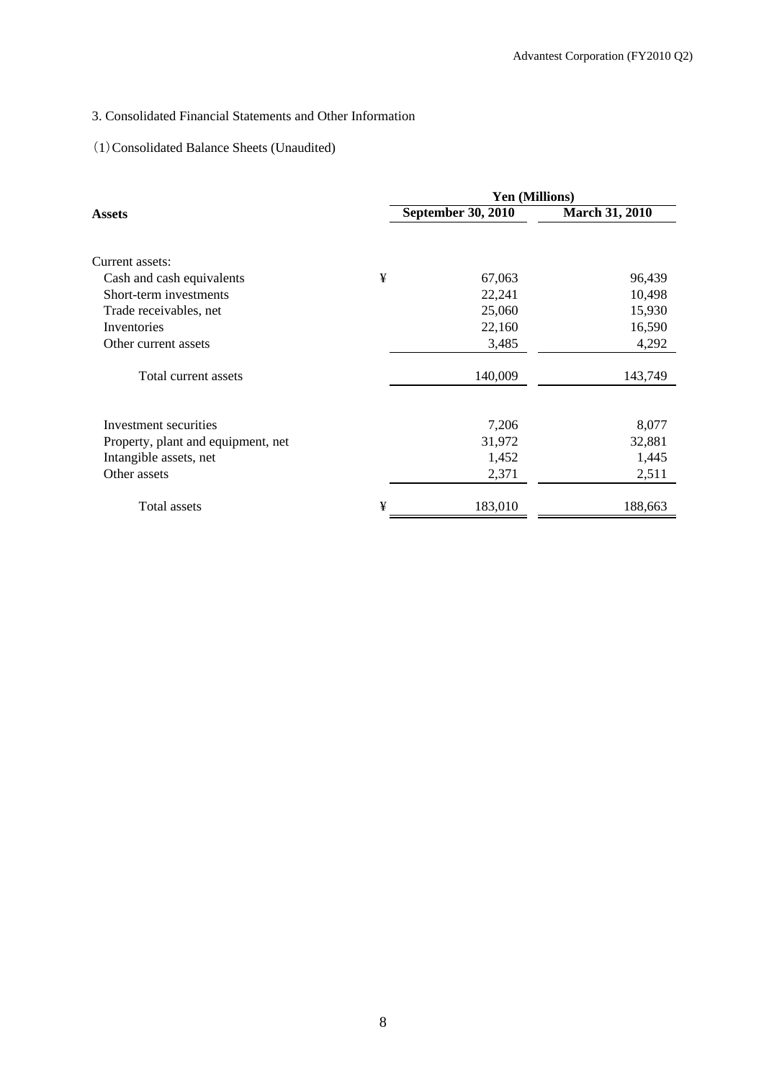# 3. Consolidated Financial Statements and Other Information

## (1)Consolidated Balance Sheets (Unaudited)

|                                    |   | <b>Yen (Millions)</b>     |                       |
|------------------------------------|---|---------------------------|-----------------------|
| Assets                             |   | <b>September 30, 2010</b> | <b>March 31, 2010</b> |
|                                    |   |                           |                       |
| Current assets:                    |   |                           |                       |
| Cash and cash equivalents          | ¥ | 67,063                    | 96,439                |
| Short-term investments             |   | 22,241                    | 10,498                |
| Trade receivables, net             |   | 25,060                    | 15,930                |
| Inventories                        |   | 22,160                    | 16,590                |
| Other current assets               |   | 3,485                     | 4,292                 |
| Total current assets               |   | 140,009                   | 143,749               |
| Investment securities              |   | 7,206                     | 8,077                 |
| Property, plant and equipment, net |   | 31,972                    | 32,881                |
| Intangible assets, net             |   | 1,452                     | 1,445                 |
| Other assets                       |   | 2,371                     | 2,511                 |
| Total assets                       | ¥ | 183,010                   | 188,663               |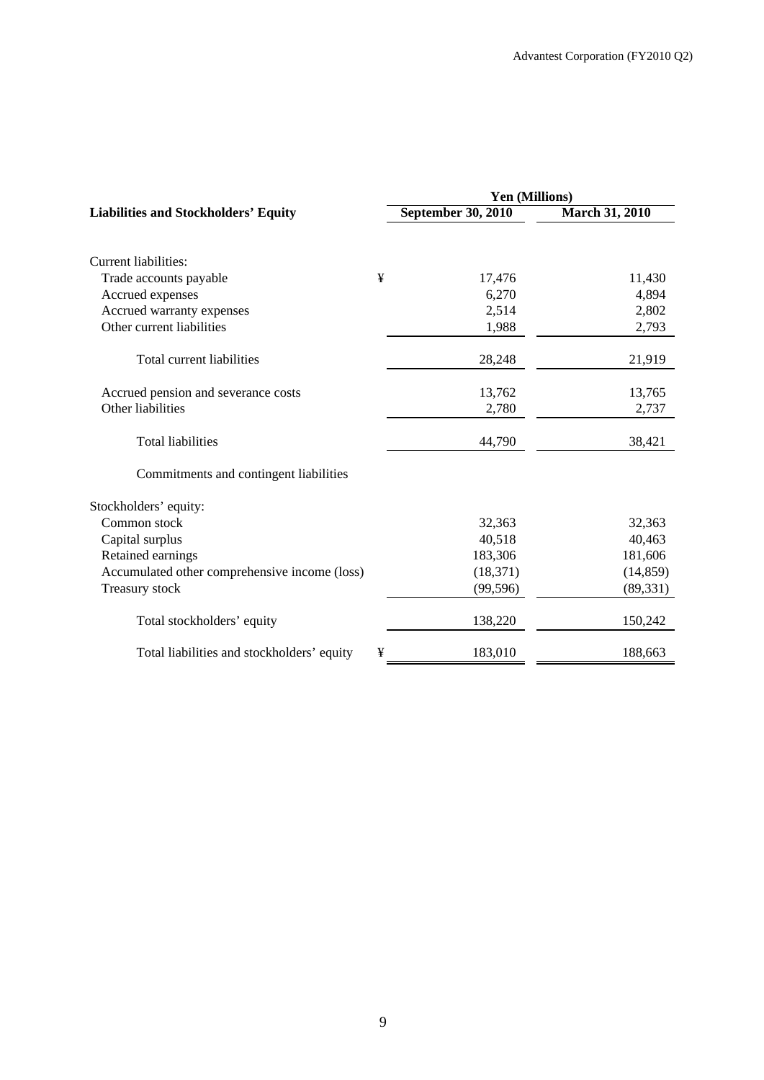|                                               |   | Yen (Millions)            |                       |  |  |  |
|-----------------------------------------------|---|---------------------------|-----------------------|--|--|--|
| <b>Liabilities and Stockholders' Equity</b>   |   | <b>September 30, 2010</b> | <b>March 31, 2010</b> |  |  |  |
|                                               |   |                           |                       |  |  |  |
| Current liabilities:                          |   |                           |                       |  |  |  |
| Trade accounts payable                        | ¥ | 17,476                    | 11,430                |  |  |  |
| Accrued expenses                              |   | 6,270                     | 4,894                 |  |  |  |
| Accrued warranty expenses                     |   | 2,514                     | 2,802                 |  |  |  |
| Other current liabilities                     |   | 1,988                     | 2,793                 |  |  |  |
| Total current liabilities                     |   | 28,248                    | 21,919                |  |  |  |
| Accrued pension and severance costs           |   | 13,762                    | 13,765                |  |  |  |
| Other liabilities                             |   | 2,780                     | 2,737                 |  |  |  |
| <b>Total liabilities</b>                      |   | 44,790                    | 38,421                |  |  |  |
| Commitments and contingent liabilities        |   |                           |                       |  |  |  |
| Stockholders' equity:                         |   |                           |                       |  |  |  |
| Common stock                                  |   | 32,363                    | 32,363                |  |  |  |
| Capital surplus                               |   | 40,518                    | 40,463                |  |  |  |
| Retained earnings                             |   | 183,306                   | 181,606               |  |  |  |
| Accumulated other comprehensive income (loss) |   | (18, 371)                 | (14, 859)             |  |  |  |
| Treasury stock                                |   | (99, 596)                 | (89, 331)             |  |  |  |
| Total stockholders' equity                    |   | 138,220                   | 150,242               |  |  |  |
| Total liabilities and stockholders' equity    | ¥ | 183,010                   | 188,663               |  |  |  |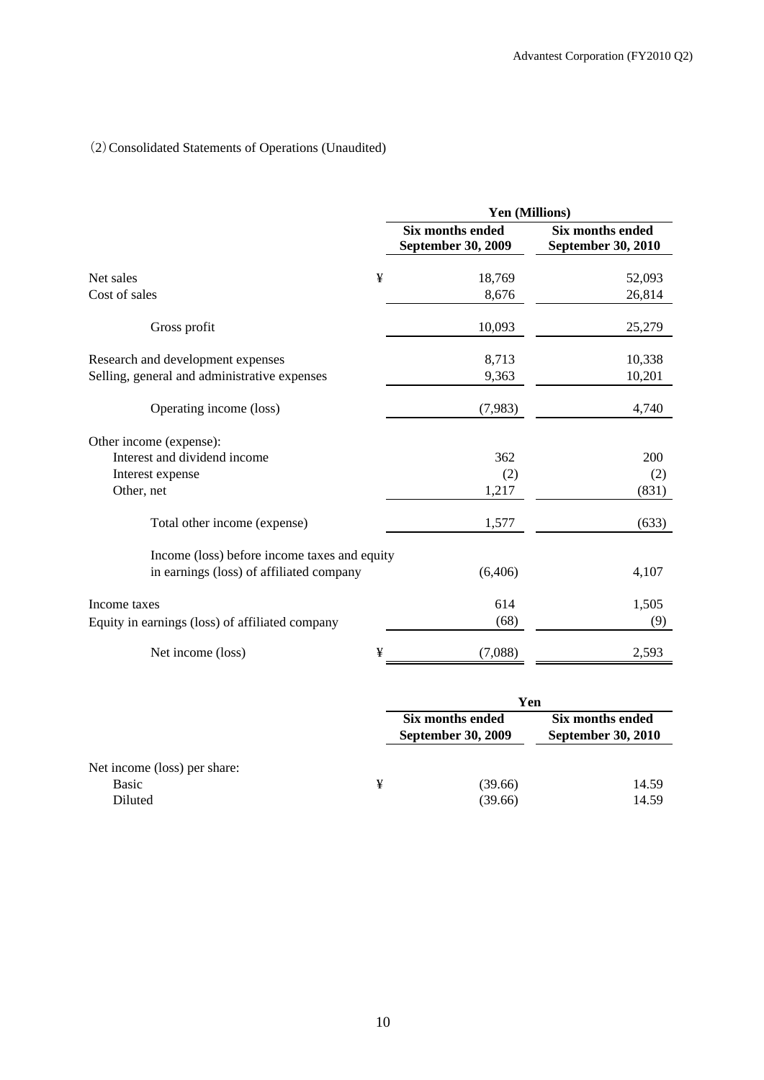# (2)Consolidated Statements of Operations (Unaudited)

|                                                 |   | Yen (Millions)                                |                                               |  |  |  |
|-------------------------------------------------|---|-----------------------------------------------|-----------------------------------------------|--|--|--|
|                                                 |   | <b>Six months ended</b><br>September 30, 2009 | <b>Six months ended</b><br>September 30, 2010 |  |  |  |
| Net sales                                       | ¥ | 18,769                                        | 52,093                                        |  |  |  |
| Cost of sales                                   |   | 8,676                                         | 26,814                                        |  |  |  |
| Gross profit                                    |   | 10,093                                        | 25,279                                        |  |  |  |
| Research and development expenses               |   | 8,713                                         | 10,338                                        |  |  |  |
| Selling, general and administrative expenses    |   | 9,363                                         | 10,201                                        |  |  |  |
| Operating income (loss)                         |   | (7,983)                                       | 4,740                                         |  |  |  |
| Other income (expense):                         |   |                                               |                                               |  |  |  |
| Interest and dividend income                    |   | 362                                           | 200                                           |  |  |  |
| Interest expense                                |   | (2)                                           | (2)                                           |  |  |  |
| Other, net                                      |   | 1,217                                         | (831)                                         |  |  |  |
| Total other income (expense)                    |   | 1,577                                         | (633)                                         |  |  |  |
| Income (loss) before income taxes and equity    |   |                                               |                                               |  |  |  |
| in earnings (loss) of affiliated company        |   | (6,406)                                       | 4,107                                         |  |  |  |
| Income taxes                                    |   | 614                                           | 1,505                                         |  |  |  |
| Equity in earnings (loss) of affiliated company |   | (68)                                          | (9)                                           |  |  |  |
| Net income (loss)                               | ¥ | (7,088)                                       | 2,593                                         |  |  |  |

|                              |   | Yen                                           |                                               |  |
|------------------------------|---|-----------------------------------------------|-----------------------------------------------|--|
|                              |   | Six months ended<br><b>September 30, 2009</b> | Six months ended<br><b>September 30, 2010</b> |  |
| Net income (loss) per share: |   |                                               |                                               |  |
| Basic                        | ¥ | (39.66)                                       | 14.59                                         |  |
| Diluted                      |   | (39.66)                                       | 14.59                                         |  |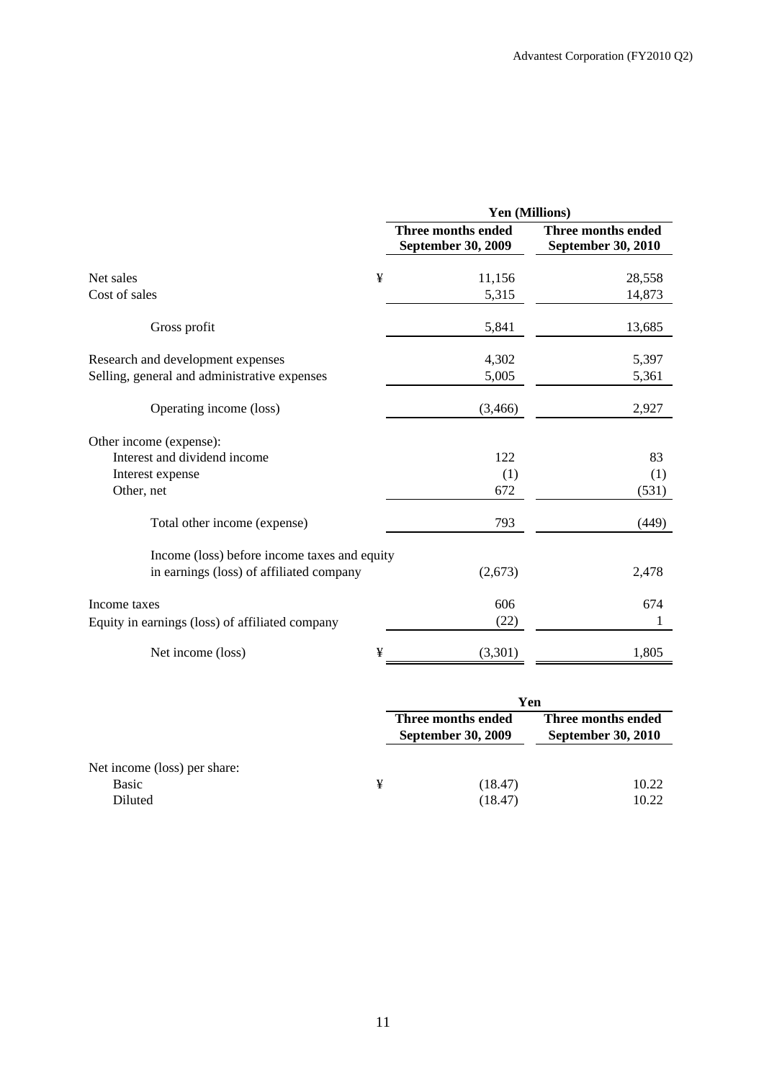|                                                 | Yen (Millions) |                                                 |                                          |  |  |
|-------------------------------------------------|----------------|-------------------------------------------------|------------------------------------------|--|--|
|                                                 |                | <b>Three months ended</b><br>September 30, 2009 | Three months ended<br>September 30, 2010 |  |  |
| Net sales                                       | ¥              | 11,156                                          | 28,558                                   |  |  |
| Cost of sales                                   |                | 5,315                                           | 14,873                                   |  |  |
| Gross profit                                    |                | 5,841                                           | 13,685                                   |  |  |
| Research and development expenses               |                | 4,302                                           | 5,397                                    |  |  |
| Selling, general and administrative expenses    |                | 5,005                                           | 5,361                                    |  |  |
| Operating income (loss)                         |                | (3,466)                                         | 2,927                                    |  |  |
| Other income (expense):                         |                |                                                 |                                          |  |  |
| Interest and dividend income                    |                | 122                                             | 83                                       |  |  |
| Interest expense                                |                | (1)                                             | (1)                                      |  |  |
| Other, net                                      |                | 672                                             | (531)                                    |  |  |
| Total other income (expense)                    |                | 793                                             | (449)                                    |  |  |
| Income (loss) before income taxes and equity    |                |                                                 |                                          |  |  |
| in earnings (loss) of affiliated company        |                | (2,673)                                         | 2,478                                    |  |  |
| Income taxes                                    |                | 606                                             | 674                                      |  |  |
| Equity in earnings (loss) of affiliated company |                | (22)                                            |                                          |  |  |
| Net income (loss)                               | ¥              | (3,301)                                         | 1,805                                    |  |  |

|                              |   | Yen                                             |                                                 |  |
|------------------------------|---|-------------------------------------------------|-------------------------------------------------|--|
|                              |   | Three months ended<br><b>September 30, 2009</b> | Three months ended<br><b>September 30, 2010</b> |  |
| Net income (loss) per share: |   |                                                 |                                                 |  |
| Basic                        | ¥ | (18.47)                                         | 10.22                                           |  |
| Diluted                      |   | (18.47)                                         | 10.22                                           |  |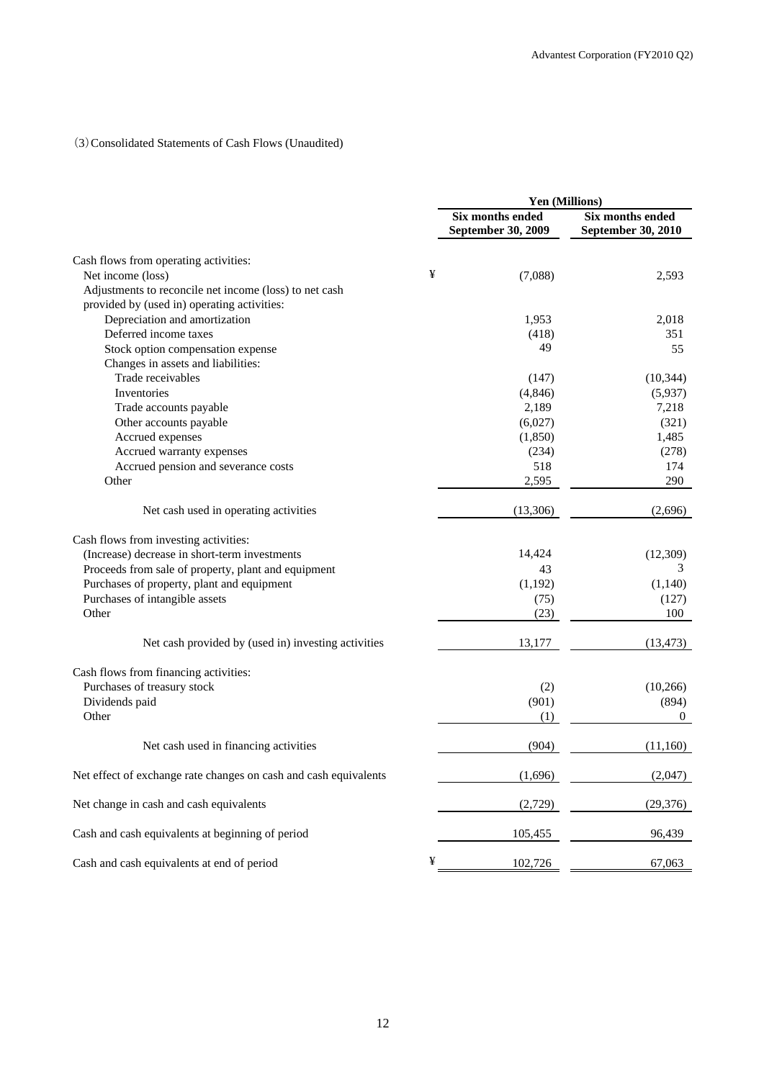### (3)Consolidated Statements of Cash Flows (Unaudited)

|                                                                  |   | Yen (Millions)                                |                                                      |  |
|------------------------------------------------------------------|---|-----------------------------------------------|------------------------------------------------------|--|
|                                                                  |   | <b>Six months ended</b><br>September 30, 2009 | <b>Six months ended</b><br><b>September 30, 2010</b> |  |
| Cash flows from operating activities:                            |   |                                               |                                                      |  |
| Net income (loss)                                                | ¥ | (7,088)                                       | 2,593                                                |  |
| Adjustments to reconcile net income (loss) to net cash           |   |                                               |                                                      |  |
| provided by (used in) operating activities:                      |   |                                               |                                                      |  |
| Depreciation and amortization                                    |   | 1,953                                         | 2,018                                                |  |
| Deferred income taxes                                            |   | (418)                                         | 351                                                  |  |
| Stock option compensation expense                                |   | 49                                            | 55                                                   |  |
| Changes in assets and liabilities:                               |   |                                               |                                                      |  |
| Trade receivables                                                |   | (147)                                         | (10, 344)                                            |  |
| Inventories                                                      |   | (4, 846)                                      | (5,937)                                              |  |
| Trade accounts payable                                           |   | 2,189                                         | 7,218                                                |  |
| Other accounts payable                                           |   | (6,027)                                       | (321)                                                |  |
| Accrued expenses                                                 |   | (1,850)                                       | 1,485                                                |  |
| Accrued warranty expenses                                        |   | (234)                                         | (278)                                                |  |
| Accrued pension and severance costs                              |   | 518                                           | 174                                                  |  |
| Other                                                            |   | 2,595                                         | 290                                                  |  |
|                                                                  |   |                                               |                                                      |  |
| Net cash used in operating activities                            |   | (13,306)                                      | (2,696)                                              |  |
| Cash flows from investing activities:                            |   |                                               |                                                      |  |
| (Increase) decrease in short-term investments                    |   | 14,424                                        | (12, 309)                                            |  |
| Proceeds from sale of property, plant and equipment              |   | 43                                            | 3                                                    |  |
| Purchases of property, plant and equipment                       |   | (1, 192)                                      | (1,140)                                              |  |
| Purchases of intangible assets                                   |   | (75)                                          | (127)                                                |  |
| Other                                                            |   | (23)                                          | 100                                                  |  |
|                                                                  |   |                                               |                                                      |  |
| Net cash provided by (used in) investing activities              |   | 13,177                                        | (13, 473)                                            |  |
| Cash flows from financing activities:                            |   |                                               |                                                      |  |
| Purchases of treasury stock                                      |   | (2)                                           | (10, 266)                                            |  |
| Dividends paid                                                   |   | (901)                                         | (894)                                                |  |
| Other                                                            |   | (1)                                           | $\overline{0}$                                       |  |
| Net cash used in financing activities                            |   | (904)                                         | (11,160)                                             |  |
| Net effect of exchange rate changes on cash and cash equivalents |   | (1,696)                                       | (2,047)                                              |  |
| Net change in cash and cash equivalents                          |   | (2,729)                                       | (29,376)                                             |  |
| Cash and cash equivalents at beginning of period                 |   | 105,455                                       | 96,439                                               |  |
| Cash and cash equivalents at end of period                       | ¥ | 102,726                                       | 67,063                                               |  |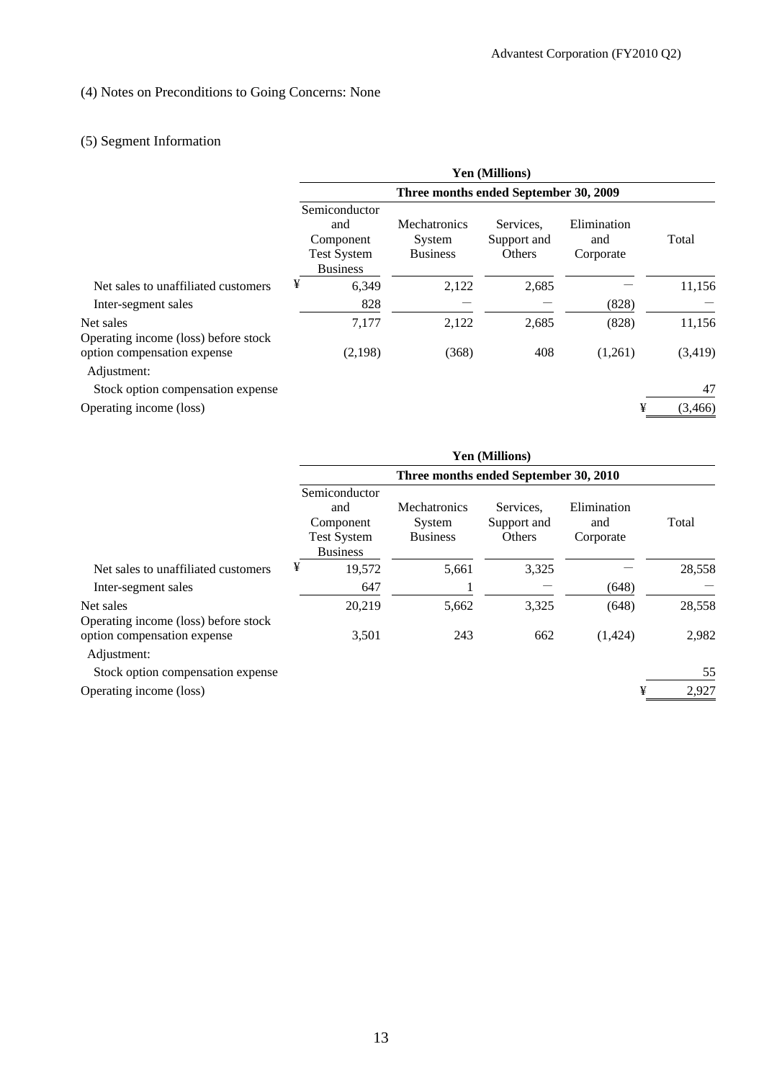# (4) Notes on Preconditions to Going Concerns: None

# (5) Segment Information

|                                                   |                                                                            |                                                  | <b>Yen (Millions)</b>              |                                 |          |  |
|---------------------------------------------------|----------------------------------------------------------------------------|--------------------------------------------------|------------------------------------|---------------------------------|----------|--|
|                                                   | Three months ended September 30, 2009                                      |                                                  |                                    |                                 |          |  |
|                                                   | Semiconductor<br>and<br>Component<br><b>Test System</b><br><b>Business</b> | <b>Mechatronics</b><br>System<br><b>Business</b> | Services.<br>Support and<br>Others | Elimination<br>and<br>Corporate | Total    |  |
| Net sales to unaffiliated customers               | ¥<br>6,349                                                                 | 2,122                                            | 2,685                              |                                 | 11,156   |  |
| Inter-segment sales                               | 828                                                                        |                                                  |                                    | (828)                           |          |  |
| Net sales<br>Operating income (loss) before stock | 7,177                                                                      | 2,122                                            | 2,685                              | (828)                           | 11,156   |  |
| option compensation expense<br>Adjustment:        | (2,198)                                                                    | (368)                                            | 408                                | (1,261)                         | (3,419)  |  |
| Stock option compensation expense                 |                                                                            |                                                  |                                    |                                 | 47       |  |
| Operating income (loss)                           |                                                                            |                                                  |                                    | ¥                               | (3, 466) |  |

|                                                   |                                                                            |                                                  | <b>Yen (Millions)</b>              |                                 |        |  |
|---------------------------------------------------|----------------------------------------------------------------------------|--------------------------------------------------|------------------------------------|---------------------------------|--------|--|
|                                                   | Three months ended September 30, 2010                                      |                                                  |                                    |                                 |        |  |
|                                                   | Semiconductor<br>and<br>Component<br><b>Test System</b><br><b>Business</b> | <b>Mechatronics</b><br>System<br><b>Business</b> | Services.<br>Support and<br>Others | Elimination<br>and<br>Corporate | Total  |  |
| Net sales to unaffiliated customers               | ¥<br>19,572                                                                | 5,661                                            | 3,325                              |                                 | 28,558 |  |
| Inter-segment sales                               | 647                                                                        |                                                  |                                    | (648)                           |        |  |
| Net sales<br>Operating income (loss) before stock | 20,219                                                                     | 5,662                                            | 3,325                              | (648)                           | 28,558 |  |
| option compensation expense<br>Adjustment:        | 3,501                                                                      | 243                                              | 662                                | (1,424)                         | 2,982  |  |
| Stock option compensation expense                 |                                                                            |                                                  |                                    |                                 | 55     |  |
| Operating income (loss)                           |                                                                            |                                                  |                                    | ¥                               | 2,927  |  |